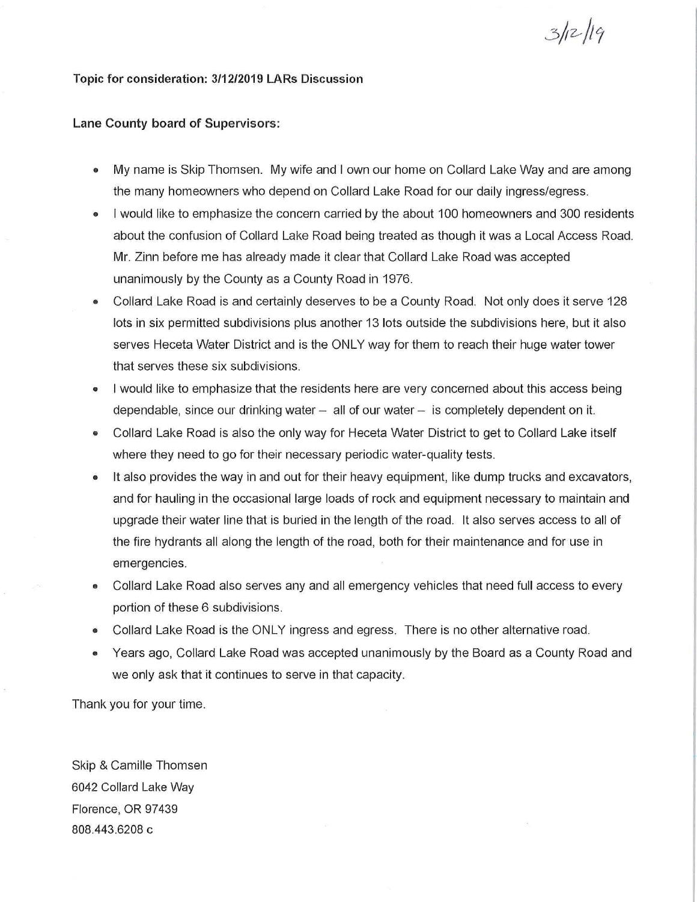## **Topic for consideration: 3/12/2019 LARs Discussion**

## **Lane County board of Supervisors:**

• My name is Skip Thomsen. My wife and I own our home on Collard Lake Way and are among the many homeowners who depend on Collard Lake Road for our daily ingress/egress.

 $3/12/19$ 

- I would like to emphasize the concern carried by the about 100 homeowners and 300 residents about the confusion of Collard Lake Road being treated as though it was a Local Access Road. Mr. Zinn before me has already made it clear that Collard Lake Road was accepted unanimously by the County as a County Road in 1976.
- Collard Lake Road is and certainly deserves to be a County Road. Not only does it serve 128 lots in six permitted subdivisions plus another 13 lots outside the subdivisions here, but it also serves Heceta Water District and is the ONLY way for them to reach their huge water tower that serves these six subdivisions.
- I would like to emphasize that the residents here are very concerned about this access being dependable, since our drinking water  $-$  all of our water  $-$  is completely dependent on it.
- Collard Lake Road is also the only way for Heceta Water District to get to Collard Lake itself where they need to go for their necessary periodic water-quality tests.
- It also provides the way in and out for their heavy equipment, like dump trucks and excavators, and for hauling in the occasional large loads of rock and equipment necessary to maintain and upgrade their water line that is buried in the length of the road. It also serves access to all of the fire hydrants all along the length of the road, both for their maintenance and for use in emergencies.
- Collard Lake Road also serves any and all emergency vehicles that need full access to every portion of these 6 subdivisions.
- Collard Lake Road is the ONLY ingress and egress. There is no other alternative road.
- Years ago, Collard Lake Road was accepted unanimously by the Board as a County Road and we only ask that it continues to serve in that capacity.

Thank you for your time.

Skip & Camille Thomsen 6042 Collard Lake Way Florence, OR 97439 808.443.6208 c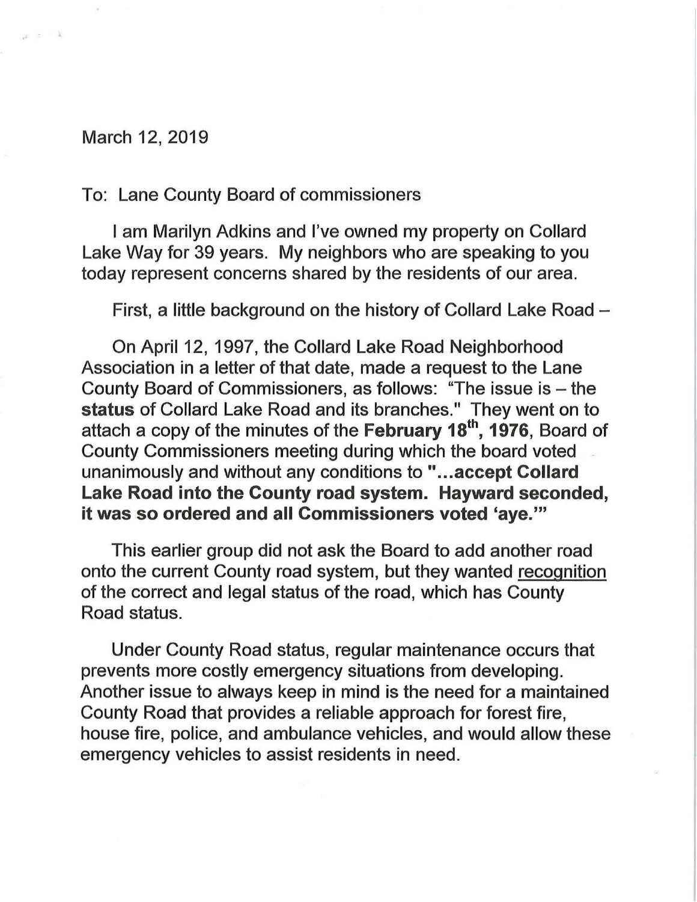## March 12, 2019

 $\alpha \geq 1$ 

## To: Lane County Board of commissioners

I am Marilyn Adkins and I've owned my property on Collard Lake Way for 39 years. My neighbors who are speaking to you today represent concerns shared by the residents of our area.

First, a little background on the history of Collard Lake Road -

On April 12, 1997, the Collard Lake Road Neighborhood Association in a letter of that date, made a request to the Lane County Board of Commissioners, as follows: "The issue is  $-$  the status of Collard Lake Road and its branches." They went on to attach a copy of the minutes of the February  $18<sup>th</sup>$ ,  $1976$ , Board of County Commissioners meeting during which the board voted unanimously and without any conditions to " ... accept Collard Lake Road into the County road system. Hayward seconded, it was so ordered and all Commissioners voted 'aye."'

This earlier group did not ask the Board to add another road onto the current County road system, but they wanted recognition of the correct and legal status of the road, which has County Road status.

Under County Road status, regular maintenance occurs that prevents more costly emergency situations from developing. Another issue to always keep in mind is the need for a maintained County Road that provides a reliable approach for forest fire, house fire, police, and ambulance vehicles, and would allow these emergency vehicles to assist residents in need.